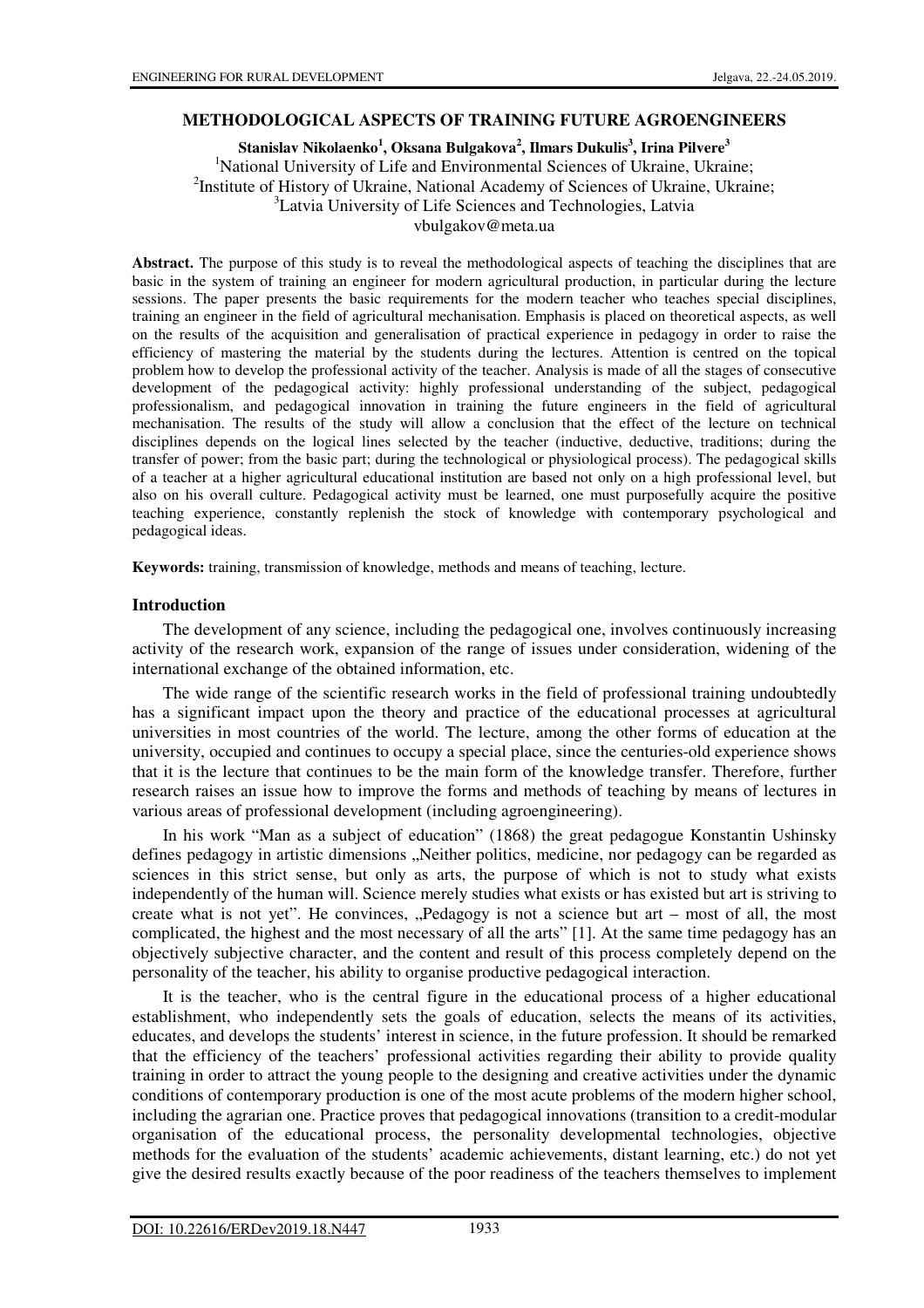# **METHODOLOGICAL ASPECTS OF TRAINING FUTURE AGROENGINEERS**

**Stanislav Nikolaenko<sup>1</sup> , Oksana Bulgakova<sup>2</sup> , Ilmars Dukulis<sup>3</sup> , Irina Pilvere<sup>3</sup>**

<sup>1</sup>National University of Life and Environmental Sciences of Ukraine, Ukraine; <sup>2</sup>Institute of History of Ukraine, National Academy of Sciences of Ukraine, Ukraine;

<sup>3</sup>Latvia University of Life Sciences and Technologies, Latvia

vbulgakov@meta.ua

**Abstract.** The purpose of this study is to reveal the methodological aspects of teaching the disciplines that are basic in the system of training an engineer for modern agricultural production, in particular during the lecture sessions. The paper presents the basic requirements for the modern teacher who teaches special disciplines, training an engineer in the field of agricultural mechanisation. Emphasis is placed on theoretical aspects, as well on the results of the acquisition and generalisation of practical experience in pedagogy in order to raise the efficiency of mastering the material by the students during the lectures. Attention is centred on the topical problem how to develop the professional activity of the teacher. Analysis is made of all the stages of consecutive development of the pedagogical activity: highly professional understanding of the subject, pedagogical professionalism, and pedagogical innovation in training the future engineers in the field of agricultural mechanisation. The results of the study will allow a conclusion that the effect of the lecture on technical disciplines depends on the logical lines selected by the teacher (inductive, deductive, traditions; during the transfer of power; from the basic part; during the technological or physiological process). The pedagogical skills of a teacher at a higher agricultural educational institution are based not only on a high professional level, but also on his overall culture. Pedagogical activity must be learned, one must purposefully acquire the positive teaching experience, constantly replenish the stock of knowledge with contemporary psychological and pedagogical ideas.

**Keywords:** training, transmission of knowledge, methods and means of teaching, lecture.

## **Introduction**

The development of any science, including the pedagogical one, involves continuously increasing activity of the research work, expansion of the range of issues under consideration, widening of the international exchange of the obtained information, etc.

The wide range of the scientific research works in the field of professional training undoubtedly has a significant impact upon the theory and practice of the educational processes at agricultural universities in most countries of the world. The lecture, among the other forms of education at the university, occupied and continues to occupy a special place, since the centuries-old experience shows that it is the lecture that continues to be the main form of the knowledge transfer. Therefore, further research raises an issue how to improve the forms and methods of teaching by means of lectures in various areas of professional development (including agroengineering).

In his work "Man as a subject of education" (1868) the great pedagogue Konstantin Ushinsky defines pedagogy in artistic dimensions . Neither politics, medicine, nor pedagogy can be regarded as sciences in this strict sense, but only as arts, the purpose of which is not to study what exists independently of the human will. Science merely studies what exists or has existed but art is striving to create what is not yet". He convinces,  $P_{\text{edagogy}}$  is not a science but art – most of all, the most complicated, the highest and the most necessary of all the arts" [1]. At the same time pedagogy has an objectively subjective character, and the content and result of this process completely depend on the personality of the teacher, his ability to organise productive pedagogical interaction.

It is the teacher, who is the central figure in the educational process of a higher educational establishment, who independently sets the goals of education, selects the means of its activities, educates, and develops the students' interest in science, in the future profession. It should be remarked that the efficiency of the teachers' professional activities regarding their ability to provide quality training in order to attract the young people to the designing and creative activities under the dynamic conditions of contemporary production is one of the most acute problems of the modern higher school, including the agrarian one. Practice proves that pedagogical innovations (transition to a credit-modular organisation of the educational process, the personality developmental technologies, objective methods for the evaluation of the students' academic achievements, distant learning, etc.) do not yet give the desired results exactly because of the poor readiness of the teachers themselves to implement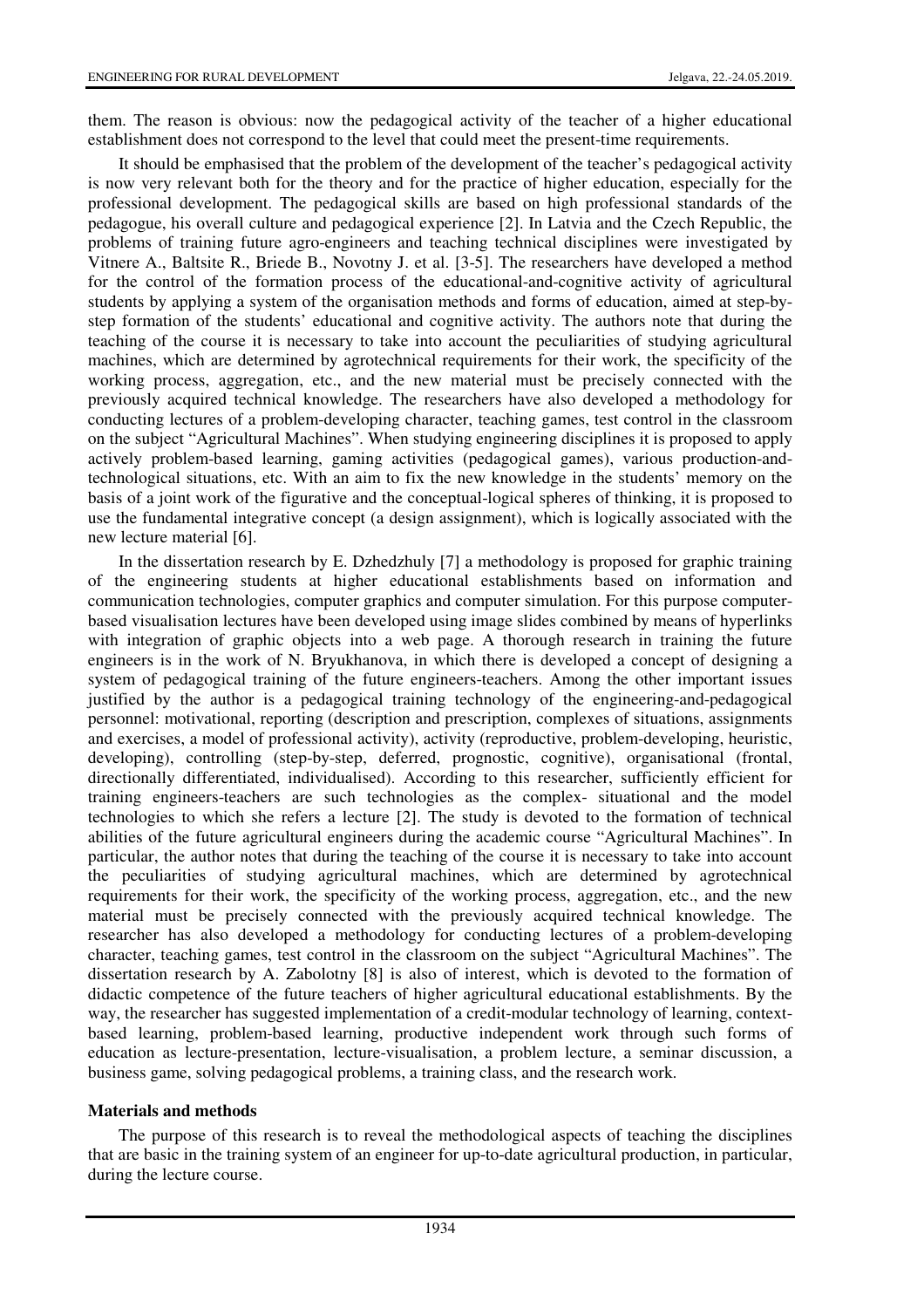them. The reason is obvious: now the pedagogical activity of the teacher of a higher educational establishment does not correspond to the level that could meet the present-time requirements.

It should be emphasised that the problem of the development of the teacher's pedagogical activity is now very relevant both for the theory and for the practice of higher education, especially for the professional development. The pedagogical skills are based on high professional standards of the pedagogue, his overall culture and pedagogical experience [2]. In Latvia and the Czech Republic, the problems of training future agro-engineers and teaching technical disciplines were investigated by Vitnere A., Baltsite R., Briede B., Novotny J. et al. [3-5]. The researchers have developed a method for the control of the formation process of the educational-and-cognitive activity of agricultural students by applying a system of the organisation methods and forms of education, aimed at step-bystep formation of the students' educational and cognitive activity. The authors note that during the teaching of the course it is necessary to take into account the peculiarities of studying agricultural machines, which are determined by agrotechnical requirements for their work, the specificity of the working process, aggregation, etc., and the new material must be precisely connected with the previously acquired technical knowledge. The researchers have also developed a methodology for conducting lectures of a problem-developing character, teaching games, test control in the classroom on the subject "Agricultural Machines". When studying engineering disciplines it is proposed to apply actively problem-based learning, gaming activities (pedagogical games), various production-andtechnological situations, etc. With an aim to fix the new knowledge in the students' memory on the basis of a joint work of the figurative and the conceptual-logical spheres of thinking, it is proposed to use the fundamental integrative concept (a design assignment), which is logically associated with the new lecture material [6].

In the dissertation research by E. Dzhedzhuly [7] a methodology is proposed for graphic training of the engineering students at higher educational establishments based on information and communication technologies, computer graphics and computer simulation. For this purpose computerbased visualisation lectures have been developed using image slides combined by means of hyperlinks with integration of graphic objects into a web page. A thorough research in training the future engineers is in the work of N. Bryukhanova, in which there is developed a concept of designing a system of pedagogical training of the future engineers-teachers. Among the other important issues justified by the author is a pedagogical training technology of the engineering-and-pedagogical personnel: motivational, reporting (description and prescription, complexes of situations, assignments and exercises, a model of professional activity), activity (reproductive, problem-developing, heuristic, developing), controlling (step-by-step, deferred, prognostic, cognitive), organisational (frontal, directionally differentiated, individualised). According to this researcher, sufficiently efficient for training engineers-teachers are such technologies as the complex- situational and the model technologies to which she refers a lecture [2]. The study is devoted to the formation of technical abilities of the future agricultural engineers during the academic course "Agricultural Machines". In particular, the author notes that during the teaching of the course it is necessary to take into account the peculiarities of studying agricultural machines, which are determined by agrotechnical requirements for their work, the specificity of the working process, aggregation, etc., and the new material must be precisely connected with the previously acquired technical knowledge. The researcher has also developed a methodology for conducting lectures of a problem-developing character, teaching games, test control in the classroom on the subject "Agricultural Machines". The dissertation research by A. Zabolotny [8] is also of interest, which is devoted to the formation of didactic competence of the future teachers of higher agricultural educational establishments. By the way, the researcher has suggested implementation of a credit-modular technology of learning, contextbased learning, problem-based learning, productive independent work through such forms of education as lecture-presentation, lecture-visualisation, a problem lecture, a seminar discussion, a business game, solving pedagogical problems, a training class, and the research work.

## **Materials and methods**

The purpose of this research is to reveal the methodological aspects of teaching the disciplines that are basic in the training system of an engineer for up-to-date agricultural production, in particular, during the lecture course.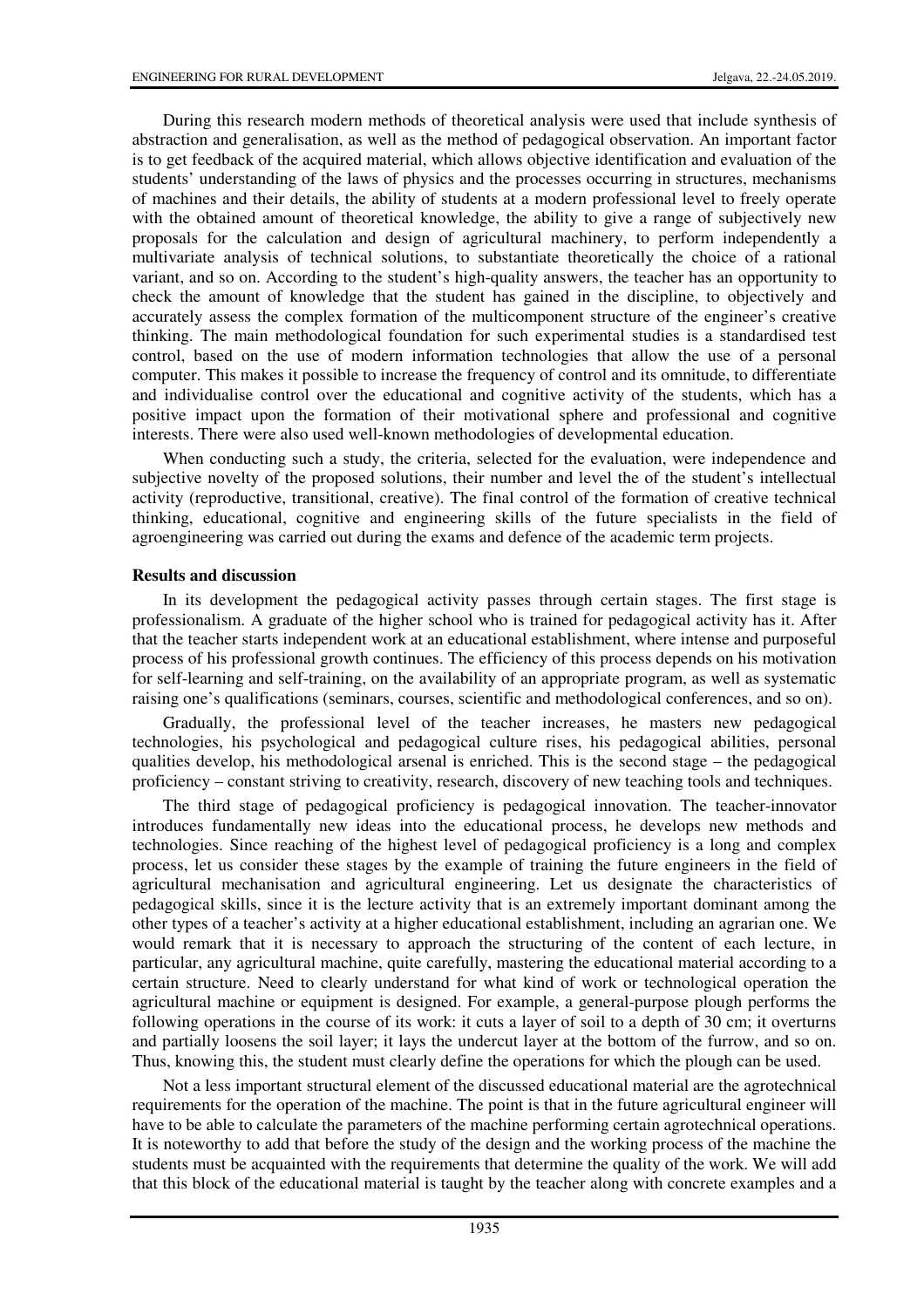During this research modern methods of theoretical analysis were used that include synthesis of abstraction and generalisation, as well as the method of pedagogical observation. An important factor is to get feedback of the acquired material, which allows objective identification and evaluation of the students' understanding of the laws of physics and the processes occurring in structures, mechanisms of machines and their details, the ability of students at a modern professional level to freely operate with the obtained amount of theoretical knowledge, the ability to give a range of subjectively new proposals for the calculation and design of agricultural machinery, to perform independently a multivariate analysis of technical solutions, to substantiate theoretically the choice of a rational variant, and so on. According to the student's high-quality answers, the teacher has an opportunity to check the amount of knowledge that the student has gained in the discipline, to objectively and accurately assess the complex formation of the multicomponent structure of the engineer's creative thinking. The main methodological foundation for such experimental studies is a standardised test control, based on the use of modern information technologies that allow the use of a personal computer. This makes it possible to increase the frequency of control and its omnitude, to differentiate and individualise control over the educational and cognitive activity of the students, which has a positive impact upon the formation of their motivational sphere and professional and cognitive interests. There were also used well-known methodologies of developmental education.

When conducting such a study, the criteria, selected for the evaluation, were independence and subjective novelty of the proposed solutions, their number and level the of the student's intellectual activity (reproductive, transitional, creative). The final control of the formation of creative technical thinking, educational, cognitive and engineering skills of the future specialists in the field of agroengineering was carried out during the exams and defence of the academic term projects.

## **Results and discussion**

In its development the pedagogical activity passes through certain stages. The first stage is professionalism. A graduate of the higher school who is trained for pedagogical activity has it. After that the teacher starts independent work at an educational establishment, where intense and purposeful process of his professional growth continues. The efficiency of this process depends on his motivation for self-learning and self-training, on the availability of an appropriate program, as well as systematic raising one's qualifications (seminars, courses, scientific and methodological conferences, and so on).

Gradually, the professional level of the teacher increases, he masters new pedagogical technologies, his psychological and pedagogical culture rises, his pedagogical abilities, personal qualities develop, his methodological arsenal is enriched. This is the second stage – the pedagogical proficiency – constant striving to creativity, research, discovery of new teaching tools and techniques.

The third stage of pedagogical proficiency is pedagogical innovation. The teacher-innovator introduces fundamentally new ideas into the educational process, he develops new methods and technologies. Since reaching of the highest level of pedagogical proficiency is a long and complex process, let us consider these stages by the example of training the future engineers in the field of agricultural mechanisation and agricultural engineering. Let us designate the characteristics of pedagogical skills, since it is the lecture activity that is an extremely important dominant among the other types of a teacher's activity at a higher educational establishment, including an agrarian one. We would remark that it is necessary to approach the structuring of the content of each lecture, in particular, any agricultural machine, quite carefully, mastering the educational material according to a certain structure. Need to clearly understand for what kind of work or technological operation the agricultural machine or equipment is designed. For example, a general-purpose plough performs the following operations in the course of its work: it cuts a layer of soil to a depth of 30 cm; it overturns and partially loosens the soil layer; it lays the undercut layer at the bottom of the furrow, and so on. Thus, knowing this, the student must clearly define the operations for which the plough can be used.

Not a less important structural element of the discussed educational material are the agrotechnical requirements for the operation of the machine. The point is that in the future agricultural engineer will have to be able to calculate the parameters of the machine performing certain agrotechnical operations. It is noteworthy to add that before the study of the design and the working process of the machine the students must be acquainted with the requirements that determine the quality of the work. We will add that this block of the educational material is taught by the teacher along with concrete examples and a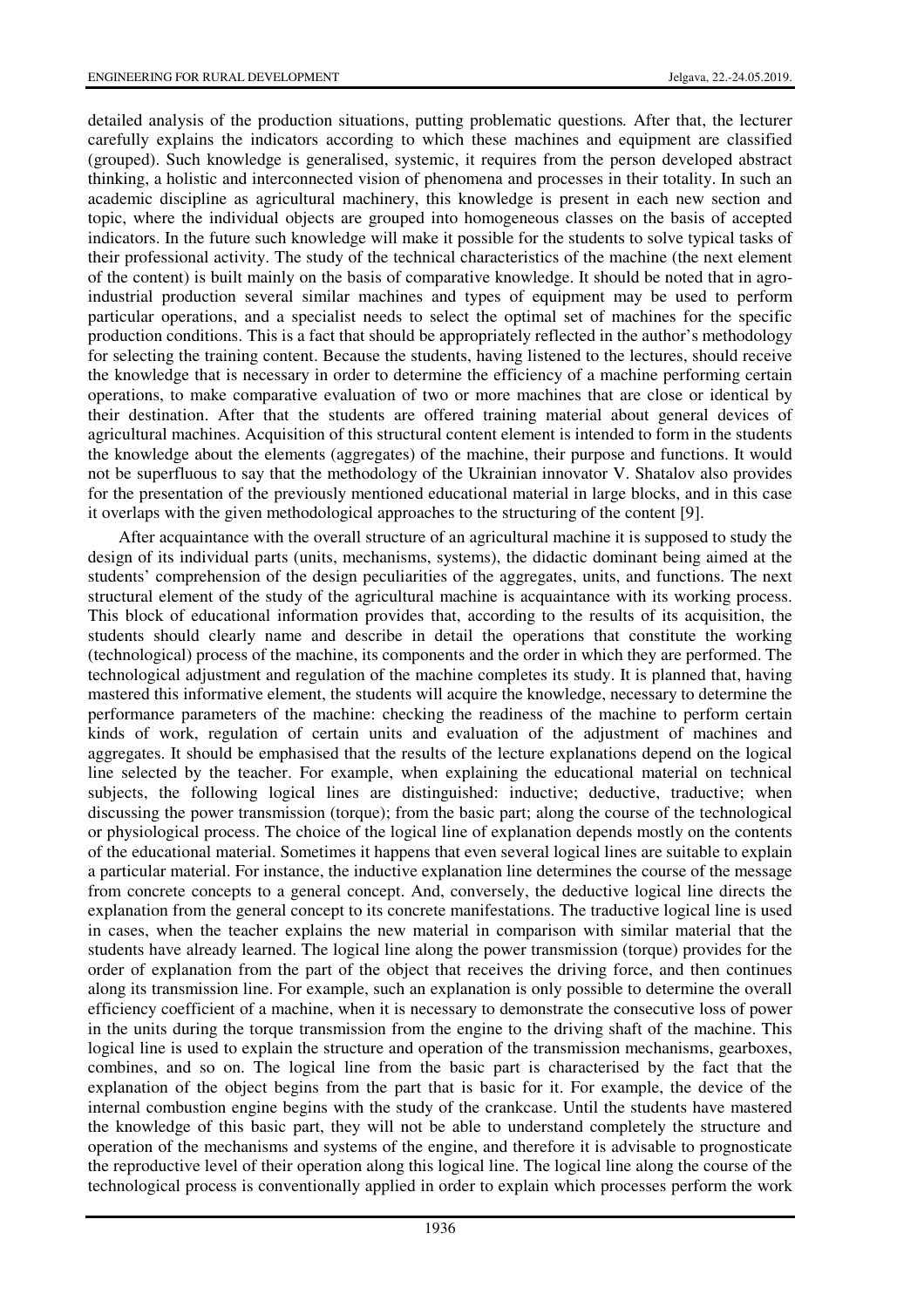detailed analysis of the production situations, putting problematic questions*.* After that, the lecturer carefully explains the indicators according to which these machines and equipment are classified (grouped). Such knowledge is generalised, systemic, it requires from the person developed abstract thinking, a holistic and interconnected vision of phenomena and processes in their totality. In such an academic discipline as agricultural machinery, this knowledge is present in each new section and topic, where the individual objects are grouped into homogeneous classes on the basis of accepted indicators. In the future such knowledge will make it possible for the students to solve typical tasks of their professional activity. The study of the technical characteristics of the machine (the next element of the content) is built mainly on the basis of comparative knowledge. It should be noted that in agroindustrial production several similar machines and types of equipment may be used to perform particular operations, and a specialist needs to select the optimal set of machines for the specific production conditions. This is a fact that should be appropriately reflected in the author's methodology for selecting the training content. Because the students, having listened to the lectures, should receive the knowledge that is necessary in order to determine the efficiency of a machine performing certain operations, to make comparative evaluation of two or more machines that are close or identical by their destination. After that the students are offered training material about general devices of agricultural machines. Acquisition of this structural content element is intended to form in the students the knowledge about the elements (aggregates) of the machine, their purpose and functions. It would not be superfluous to say that the methodology of the Ukrainian innovator V. Shatalov also provides for the presentation of the previously mentioned educational material in large blocks, and in this case it overlaps with the given methodological approaches to the structuring of the content [9].

After acquaintance with the overall structure of an agricultural machine it is supposed to study the design of its individual parts (units, mechanisms, systems), the didactic dominant being aimed at the students' comprehension of the design peculiarities of the aggregates, units, and functions. The next structural element of the study of the agricultural machine is acquaintance with its working process. This block of educational information provides that, according to the results of its acquisition, the students should clearly name and describe in detail the operations that constitute the working (technological) process of the machine, its components and the order in which they are performed. The technological adjustment and regulation of the machine completes its study. It is planned that, having mastered this informative element, the students will acquire the knowledge, necessary to determine the performance parameters of the machine: checking the readiness of the machine to perform certain kinds of work, regulation of certain units and evaluation of the adjustment of machines and aggregates. It should be emphasised that the results of the lecture explanations depend on the logical line selected by the teacher. For example, when explaining the educational material on technical subjects, the following logical lines are distinguished: inductive; deductive, traductive; when discussing the power transmission (torque); from the basic part; along the course of the technological or physiological process. The choice of the logical line of explanation depends mostly on the contents of the educational material. Sometimes it happens that even several logical lines are suitable to explain a particular material. For instance, the inductive explanation line determines the course of the message from concrete concepts to a general concept. And, conversely, the deductive logical line directs the explanation from the general concept to its concrete manifestations. The traductive logical line is used in cases, when the teacher explains the new material in comparison with similar material that the students have already learned. The logical line along the power transmission (torque) provides for the order of explanation from the part of the object that receives the driving force, and then continues along its transmission line. For example, such an explanation is only possible to determine the overall efficiency coefficient of a machine, when it is necessary to demonstrate the consecutive loss of power in the units during the torque transmission from the engine to the driving shaft of the machine. This logical line is used to explain the structure and operation of the transmission mechanisms, gearboxes, combines, and so on. The logical line from the basic part is characterised by the fact that the explanation of the object begins from the part that is basic for it. For example, the device of the internal combustion engine begins with the study of the crankcase. Until the students have mastered the knowledge of this basic part, they will not be able to understand completely the structure and operation of the mechanisms and systems of the engine, and therefore it is advisable to prognosticate the reproductive level of their operation along this logical line. The logical line along the course of the technological process is conventionally applied in order to explain which processes perform the work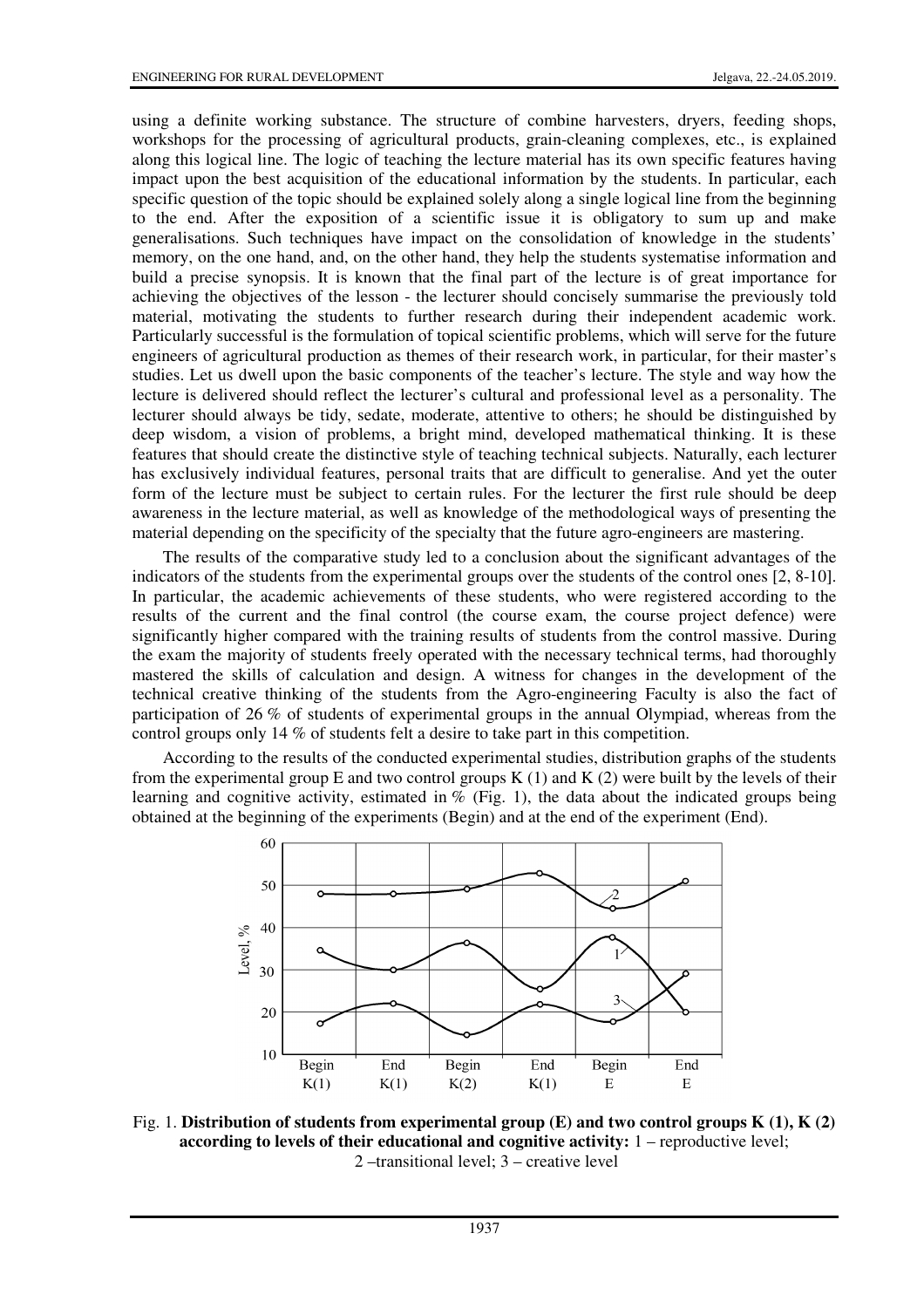using a definite working substance. The structure of combine harvesters, dryers, feeding shops, workshops for the processing of agricultural products, grain-cleaning complexes, etc., is explained along this logical line. The logic of teaching the lecture material has its own specific features having impact upon the best acquisition of the educational information by the students. In particular, each specific question of the topic should be explained solely along a single logical line from the beginning to the end. After the exposition of a scientific issue it is obligatory to sum up and make generalisations. Such techniques have impact on the consolidation of knowledge in the students' memory, on the one hand, and, on the other hand, they help the students systematise information and build a precise synopsis. It is known that the final part of the lecture is of great importance for achieving the objectives of the lesson - the lecturer should concisely summarise the previously told material, motivating the students to further research during their independent academic work. Particularly successful is the formulation of topical scientific problems, which will serve for the future engineers of agricultural production as themes of their research work, in particular, for their master's studies. Let us dwell upon the basic components of the teacher's lecture. The style and way how the lecture is delivered should reflect the lecturer's cultural and professional level as a personality. The lecturer should always be tidy, sedate, moderate, attentive to others; he should be distinguished by deep wisdom, a vision of problems, a bright mind, developed mathematical thinking. It is these features that should create the distinctive style of teaching technical subjects. Naturally, each lecturer has exclusively individual features, personal traits that are difficult to generalise. And yet the outer form of the lecture must be subject to certain rules. For the lecturer the first rule should be deep awareness in the lecture material, as well as knowledge of the methodological ways of presenting the material depending on the specificity of the specialty that the future agro-engineers are mastering.

The results of the comparative study led to a conclusion about the significant advantages of the indicators of the students from the experimental groups over the students of the control ones [2, 8-10]. In particular, the academic achievements of these students, who were registered according to the results of the current and the final control (the course exam, the course project defence) were significantly higher compared with the training results of students from the control massive. During the exam the majority of students freely operated with the necessary technical terms, had thoroughly mastered the skills of calculation and design. A witness for changes in the development of the technical creative thinking of the students from the Agro-engineering Faculty is also the fact of participation of 26 % of students of experimental groups in the annual Olympiad, whereas from the control groups only 14 % of students felt a desire to take part in this competition.

According to the results of the conducted experimental studies, distribution graphs of the students from the experimental group E and two control groups  $K(1)$  and  $K(2)$  were built by the levels of their learning and cognitive activity, estimated in  $%$  (Fig. 1), the data about the indicated groups being obtained at the beginning of the experiments (Begin) and at the end of the experiment (End).



Fig. 1. **Distribution of students from experimental group (E) and two control groups K (1), K (2) according to levels of their educational and cognitive activity:** 1 – reproductive level; 2 –transitional level; 3 – creative level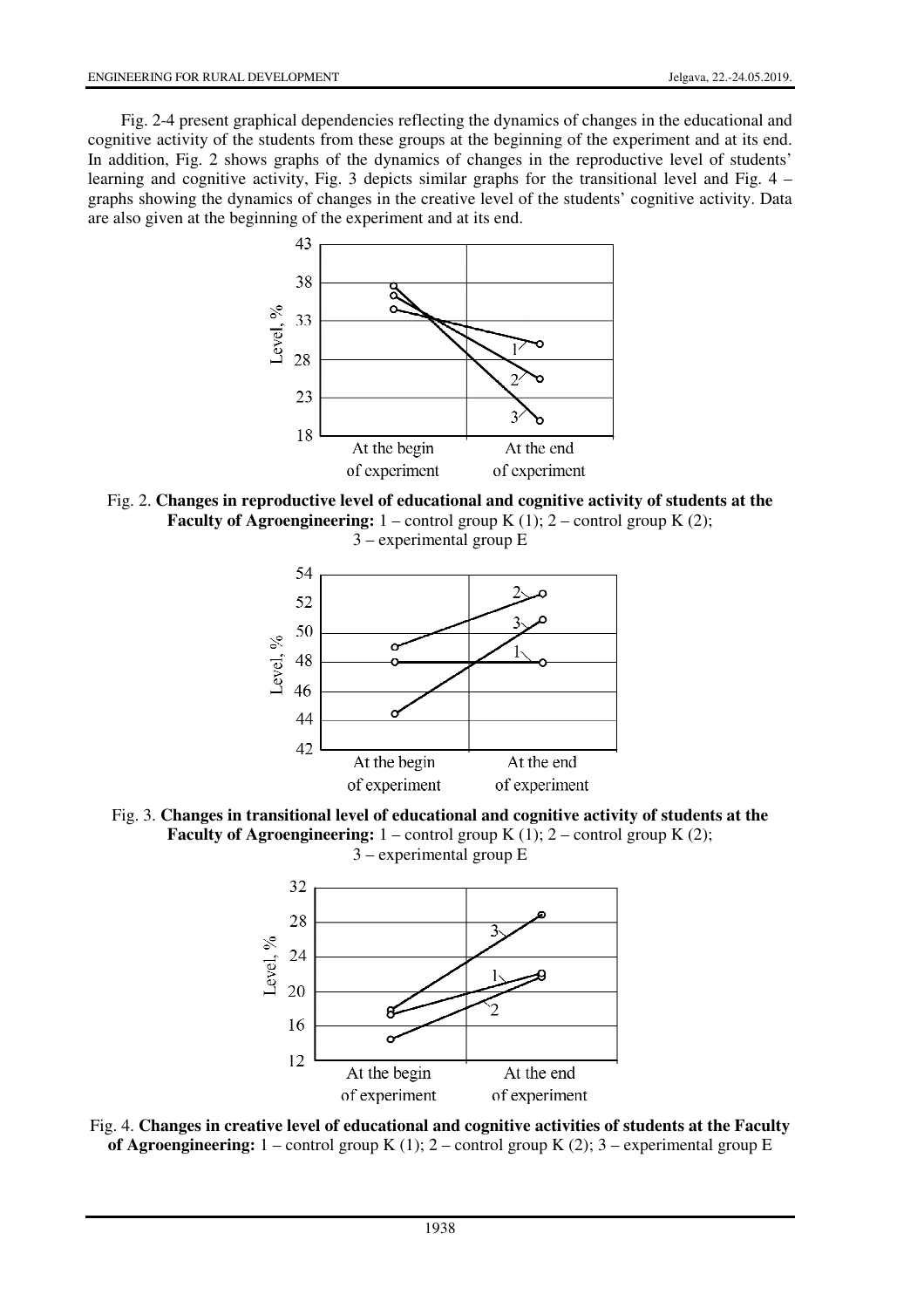Fig. 2-4 present graphical dependencies reflecting the dynamics of changes in the educational and cognitive activity of the students from these groups at the beginning of the experiment and at its end. In addition, Fig. 2 shows graphs of the dynamics of changes in the reproductive level of students' learning and cognitive activity, Fig. 3 depicts similar graphs for the transitional level and Fig. 4 – graphs showing the dynamics of changes in the creative level of the students' cognitive activity. Data are also given at the beginning of the experiment and at its end.



Fig. 2. **Changes in reproductive level of educational and cognitive activity of students at the Faculty of Agroengineering:**  $1$  – control group K  $(1)$ ;  $2$  – control group K  $(2)$ ; 3 – experimental group E







Fig. 4. **Changes in creative level of educational and cognitive activities of students at the Faculty of Agroengineering:** 1 – control group K (1); 2 – control group K (2); 3 – experimental group E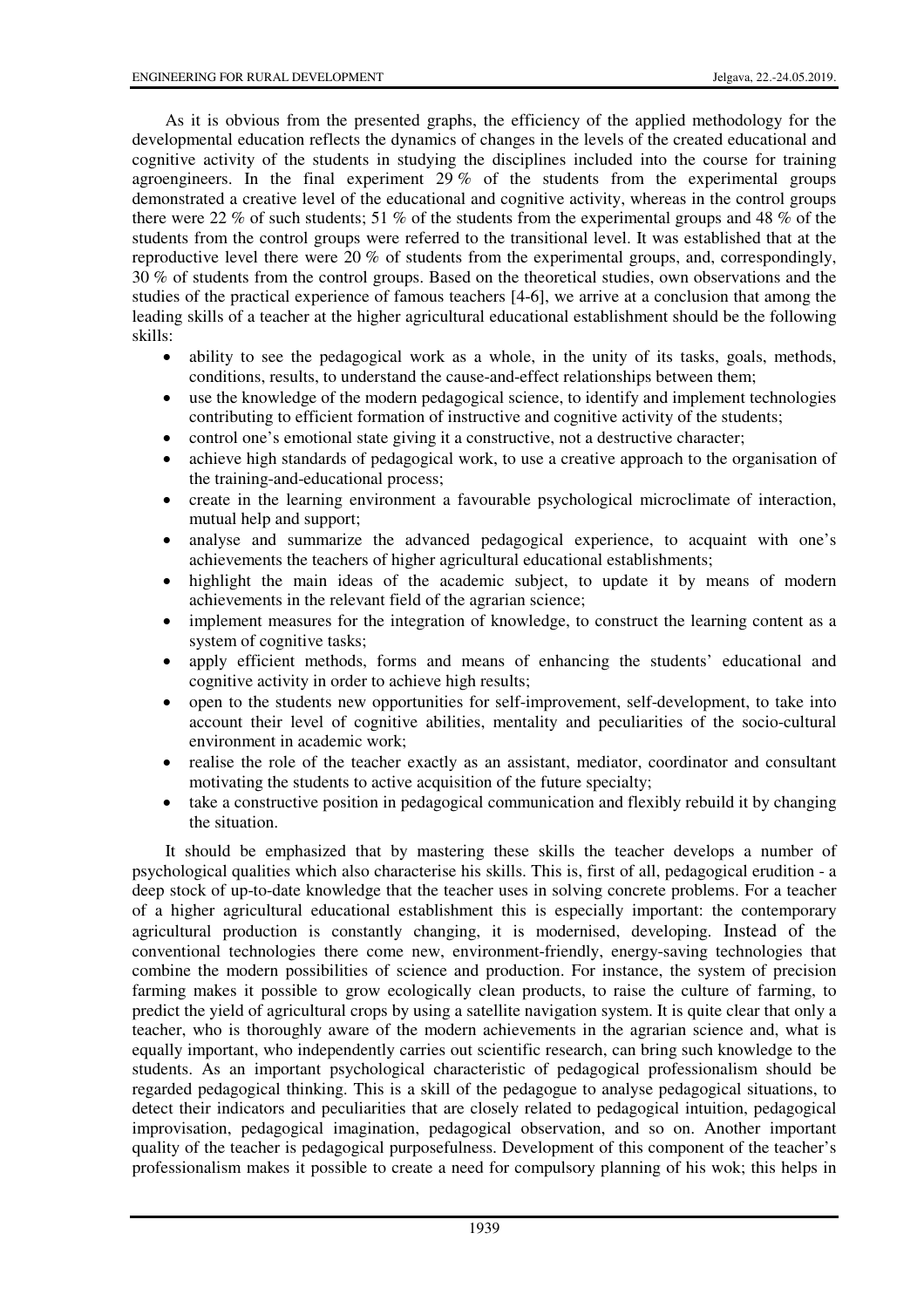As it is obvious from the presented graphs, the efficiency of the applied methodology for the developmental education reflects the dynamics of changes in the levels of the created educational and cognitive activity of the students in studying the disciplines included into the course for training agroengineers. In the final experiment 29 % of the students from the experimental groups demonstrated a creative level of the educational and cognitive activity, whereas in the control groups there were 22 % of such students; 51 % of the students from the experimental groups and 48 % of the students from the control groups were referred to the transitional level. It was established that at the reproductive level there were 20 % of students from the experimental groups, and, correspondingly, 30 % of students from the control groups. Based on the theoretical studies, own observations and the studies of the practical experience of famous teachers [4-6], we arrive at a conclusion that among the leading skills of a teacher at the higher agricultural educational establishment should be the following skills:

- ability to see the pedagogical work as a whole, in the unity of its tasks, goals, methods, conditions, results, to understand the cause-and-effect relationships between them;
- use the knowledge of the modern pedagogical science, to identify and implement technologies contributing to efficient formation of instructive and cognitive activity of the students;
- control one's emotional state giving it a constructive, not a destructive character;
- achieve high standards of pedagogical work, to use a creative approach to the organisation of the training-and-educational process;
- create in the learning environment a favourable psychological microclimate of interaction, mutual help and support;
- analyse and summarize the advanced pedagogical experience, to acquaint with one's achievements the teachers of higher agricultural educational establishments;
- highlight the main ideas of the academic subject, to update it by means of modern achievements in the relevant field of the agrarian science;
- implement measures for the integration of knowledge, to construct the learning content as a system of cognitive tasks;
- apply efficient methods, forms and means of enhancing the students' educational and cognitive activity in order to achieve high results;
- open to the students new opportunities for self-improvement, self-development, to take into account their level of cognitive abilities, mentality and peculiarities of the socio-cultural environment in academic work;
- realise the role of the teacher exactly as an assistant, mediator, coordinator and consultant motivating the students to active acquisition of the future specialty;
- take a constructive position in pedagogical communication and flexibly rebuild it by changing the situation.

It should be emphasized that by mastering these skills the teacher develops a number of psychological qualities which also characterise his skills. This is, first of all, pedagogical erudition - a deep stock of up-to-date knowledge that the teacher uses in solving concrete problems. For a teacher of a higher agricultural educational establishment this is especially important: the contemporary agricultural production is constantly changing, it is modernised, developing. Instead of the conventional technologies there come new, environment-friendly, energy-saving technologies that combine the modern possibilities of science and production. For instance, the system of precision farming makes it possible to grow ecologically clean products, to raise the culture of farming, to predict the yield of agricultural crops by using a satellite navigation system. It is quite clear that only a teacher, who is thoroughly aware of the modern achievements in the agrarian science and, what is equally important, who independently carries out scientific research, can bring such knowledge to the students. As an important psychological characteristic of pedagogical professionalism should be regarded pedagogical thinking. This is a skill of the pedagogue to analyse pedagogical situations, to detect their indicators and peculiarities that are closely related to pedagogical intuition, pedagogical improvisation, pedagogical imagination, pedagogical observation, and so on. Another important quality of the teacher is pedagogical purposefulness. Development of this component of the teacher's professionalism makes it possible to create a need for compulsory planning of his wok; this helps in